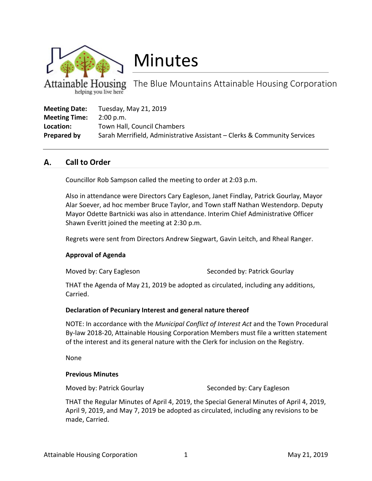

Minutes

The Blue Mountains Attainable Housing Corporation helping you live here

| <b>Meeting Date:</b> | Tuesday, May 21, 2019                                                    |
|----------------------|--------------------------------------------------------------------------|
| <b>Meeting Time:</b> | $2:00$ p.m.                                                              |
| Location:            | Town Hall, Council Chambers                                              |
| Prepared by          | Sarah Merrifield, Administrative Assistant – Clerks & Community Services |

#### А. **Call to Order**

Councillor Rob Sampson called the meeting to order at 2:03 p.m.

Also in attendance were Directors Cary Eagleson, Janet Findlay, Patrick Gourlay, Mayor Alar Soever, ad hoc member Bruce Taylor, and Town staff Nathan Westendorp. Deputy Mayor Odette Bartnicki was also in attendance. Interim Chief Administrative Officer Shawn Everitt joined the meeting at 2:30 p.m.

Regrets were sent from Directors Andrew Siegwart, Gavin Leitch, and Rheal Ranger.

# **Approval of Agenda**

Moved by: Cary Eagleson Seconded by: Patrick Gourlay

THAT the Agenda of May 21, 2019 be adopted as circulated, including any additions, Carried.

# **Declaration of Pecuniary Interest and general nature thereof**

NOTE: In accordance with the *Municipal Conflict of Interest Act* and the Town Procedural By-law 2018-20, Attainable Housing Corporation Members must file a written statement of the interest and its general nature with the Clerk for inclusion on the Registry.

None

#### **Previous Minutes**

Moved by: Patrick Gourlay Moved by: Cary Eagleson

THAT the Regular Minutes of April 4, 2019, the Special General Minutes of April 4, 2019, April 9, 2019, and May 7, 2019 be adopted as circulated, including any revisions to be made, Carried.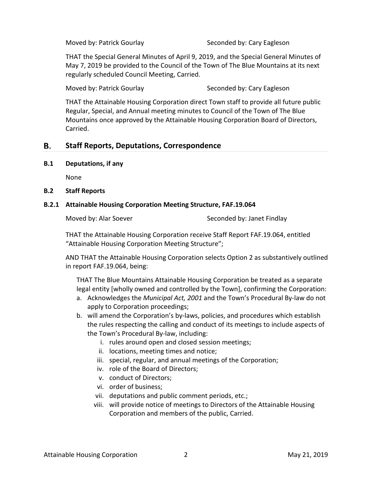Moved by: Patrick Gourlay Moved by: Cary Eagleson

THAT the Special General Minutes of April 9, 2019, and the Special General Minutes of May 7, 2019 be provided to the Council of the Town of The Blue Mountains at its next regularly scheduled Council Meeting, Carried.

Moved by: Patrick Gourlay Moved by: Cary Eagleson

THAT the Attainable Housing Corporation direct Town staff to provide all future public Regular, Special, and Annual meeting minutes to Council of the Town of The Blue Mountains once approved by the Attainable Housing Corporation Board of Directors, Carried.

#### В. **Staff Reports, Deputations, Correspondence**

**B.1 Deputations, if any**

None

**B.2 Staff Reports**

#### **B.2.1 Attainable Housing Corporation Meeting Structure, FAF.19.064**

Moved by: Alar Soever Seconded by: Janet Findlay

THAT the Attainable Housing Corporation receive Staff Report FAF.19.064, entitled "Attainable Housing Corporation Meeting Structure";

AND THAT the Attainable Housing Corporation selects Option 2 as substantively outlined in report FAF.19.064, being:

THAT The Blue Mountains Attainable Housing Corporation be treated as a separate legal entity [wholly owned and controlled by the Town], confirming the Corporation:

- a. Acknowledges the *Municipal Act, 2001* and the Town's Procedural By-law do not apply to Corporation proceedings;
- b. will amend the Corporation's by-laws, policies, and procedures which establish the rules respecting the calling and conduct of its meetings to include aspects of the Town's Procedural By-law, including:
	- i. rules around open and closed session meetings;
	- ii. locations, meeting times and notice;
	- iii. special, regular, and annual meetings of the Corporation;
	- iv. role of the Board of Directors;
	- v. conduct of Directors;
	- vi. order of business;
	- vii. deputations and public comment periods, etc.;
	- viii. will provide notice of meetings to Directors of the Attainable Housing Corporation and members of the public, Carried.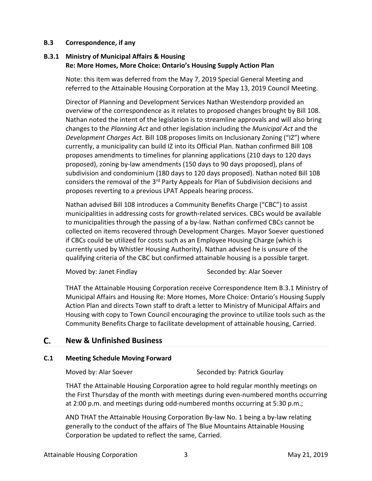# **B.3 Correspondence, if any**

# **B.3.1 Ministry of Municipal Affairs & Housing Re: More Homes, More Choice: Ontario's Housing Supply Action Plan**

Note: this item was deferred from the May 7, 2019 Special General Meeting and referred to the Attainable Housing Corporation at the May 13, 2019 Council Meeting.

Director of Planning and Development Services Nathan Westendorp provided an overview of the correspondence as it relates to proposed changes brought by Bill 108. Nathan noted the intent of the legislation is to streamline approvals and will also bring changes to the *Planning Act* and other legislation including the *Municipal Act* and the *Development Charges Act.* Bill 108 proposes limits on Inclusionary Zoning ("IZ") where currently, a municipality can build IZ into its Official Plan. Nathan confirmed Bill 108 proposes amendments to timelines for planning applications (210 days to 120 days proposed), zoning by-law amendments (150 days to 90 days proposed), plans of subdivision and condominium (180 days to 120 days proposed). Nathan noted Bill 108 considers the removal of the 3<sup>rd</sup> Party Appeals for Plan of Subdivision decisions and proposes reverting to a previous LPAT Appeals hearing process.

Nathan advised Bill 108 introduces a Community Benefits Charge ("CBC") to assist municipalities in addressing costs for growth-related services. CBCs would be available to municipalities through the passing of a by-law. Nathan confirmed CBCs cannot be collected on items recovered through Development Charges. Mayor Soever questioned if CBCs could be utilized for costs such as an Employee Housing Charge (which is currently used by Whistler Housing Authority). Nathan advised he is unsure of the qualifying criteria of the CBC but confirmed attainable housing is a possible target.

Moved by: Janet Findlay Seconded by: Alar Soever

THAT the Attainable Housing Corporation receive Correspondence Item B.3.1 Ministry of Municipal Affairs and Housing Re: More Homes, More Choice: Ontario's Housing Supply Action Plan and directs Town staff to draft a letter to Ministry of Municipal Affairs and Housing with copy to Town Council encouraging the province to utilize tools such as the Community Benefits Charge to facilitate development of attainable housing, Carried.

#### C. **New & Unfinished Business**

#### **C.1 Meeting Schedule Moving Forward**

Moved by: Alar Soever Seconded by: Patrick Gourlay

THAT the Attainable Housing Corporation agree to hold regular monthly meetings on the First Thursday of the month with meetings during even-numbered months occurring at 2:00 p.m. and meetings during odd-numbered months occurring at 5:30 p.m.;

AND THAT the Attainable Housing Corporation By-law No. 1 being a by-law relating generally to the conduct of the affairs of The Blue Mountains Attainable Housing Corporation be updated to reflect the same, Carried.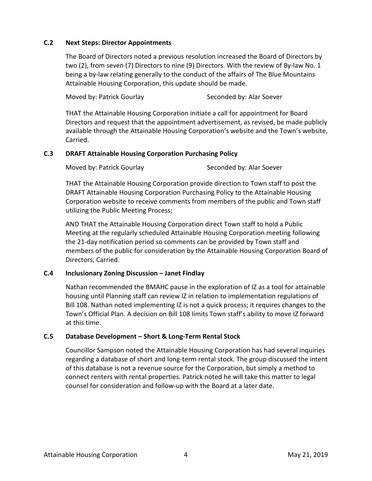# **C.2 Next Steps: Director Appointments**

The Board of Directors noted a previous resolution increased the Board of Directors by two (2), from seven (7) Directors to nine (9) Directors. With the review of By-law No. 1 being a by-law relating generally to the conduct of the affairs of The Blue Mountains Attainable Housing Corporation, this update should be made.

Moved by: Patrick Gourlay Seconded by: Alar Soever

THAT the Attainable Housing Corporation initiate a call for appointment for Board Directors and request that the appointment advertisement, as revised, be made publicly available through the Attainable Housing Corporation's website and the Town's website, Carried.

# **C.3 DRAFT Attainable Housing Corporation Purchasing Policy**

Moved by: Patrick Gourlay Moved by: Alar Soever

THAT the Attainable Housing Corporation provide direction to Town staff to post the DRAFT Attainable Housing Corporation Purchasing Policy to the Attainable Housing Corporation website to receive comments from members of the public and Town staff utilizing the Public Meeting Process;

AND THAT the Attainable Housing Corporation direct Town staff to hold a Public Meeting at the regularly scheduled Attainable Housing Corporation meeting following the 21-day notification period so comments can be provided by Town staff and members of the public for consideration by the Attainable Housing Corporation Board of Directors, Carried.

# **C.4 Inclusionary Zoning Discussion – Janet Findlay**

Nathan recommended the BMAHC pause in the exploration of IZ as a tool for attainable housing until Planning staff can review IZ in relation to implementation regulations of Bill 108. Nathan noted implementing IZ is not a quick process; it requires changes to the Town's Official Plan. A decision on Bill 108 limits Town staff's ability to move IZ forward at this time.

# **C.5 Database Development – Short & Long-Term Rental Stock**

Councillor Sampson noted the Attainable Housing Corporation has had several inquiries regarding a database of short and long-term rental stock. The group discussed the intent of this database is not a revenue source for the Corporation, but simply a method to connect renters with rental properties. Patrick noted he will take this matter to legal counsel for consideration and follow-up with the Board at a later date.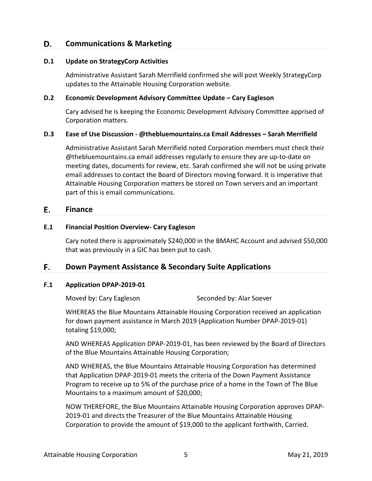#### D. **Communications & Marketing**

#### **D.1 Update on StrategyCorp Activities**

Administrative Assistant Sarah Merrifield confirmed she will post Weekly StrategyCorp updates to the Attainable Housing Corporation website.

### **D.2 Economic Development Advisory Committee Update – Cary Eagleson**

Cary advised he is keeping the Economic Development Advisory Committee apprised of Corporation matters.

### **D.3 Ease of Use Discussion - @thebluemountains.ca Email Addresses – Sarah Merrifield**

Administrative Assistant Sarah Merrifield noted Corporation members must check their @thebluemountains.ca email addresses regularly to ensure they are up-to-date on meeting dates, documents for review, etc. Sarah confirmed she will not be using private email addresses to contact the Board of Directors moving forward. It is imperative that Attainable Housing Corporation matters be stored on Town servers and an important part of this is email communications.

#### Е. **Finance**

# **E.1 Financial Position Overview- Cary Eagleson**

Cary noted there is approximately \$240,000 in the BMAHC Account and advised \$50,000 that was previously in a GIC has been put to cash.

#### F. **Down Payment Assistance & Secondary Suite Applications**

#### **F.1 Application DPAP-2019-01**

Moved by: Cary Eagleson Seconded by: Alar Soever

WHEREAS the Blue Mountains Attainable Housing Corporation received an application for down payment assistance in March 2019 (Application Number DPAP-2019-01) totaling \$19,000;

AND WHEREAS Application DPAP-2019-01, has been reviewed by the Board of Directors of the Blue Mountains Attainable Housing Corporation;

AND WHEREAS, the Blue Mountains Attainable Housing Corporation has determined that Application DPAP-2019-01 meets the criteria of the Down Payment Assistance Program to receive up to 5% of the purchase price of a home in the Town of The Blue Mountains to a maximum amount of \$20,000;

NOW THEREFORE, the Blue Mountains Attainable Housing Corporation approves DPAP-2019-01 and directs the Treasurer of the Blue Mountains Attainable Housing Corporation to provide the amount of \$19,000 to the applicant forthwith, Carried.